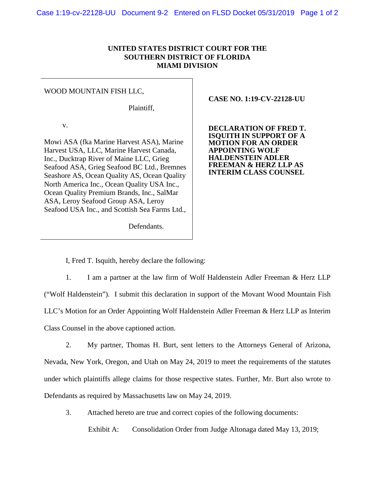## **UNITED STATES DISTRICT COURT FOR THE SOUTHERN DISTRICT OF FLORIDA MIAMI DIVISION**

## WOOD MOUNTAIN FISH LLC,

Plaintiff,

v.

Mowi ASA (fka Marine Harvest ASA), Marine Harvest USA, LLC, Marine Harvest Canada, Inc., Ducktrap River of Maine LLC, Grieg Seafood ASA, Grieg Seafood BC Ltd., Bremnes Seashore AS, Ocean Quality AS, Ocean Quality North America Inc., Ocean Quality USA Inc., Ocean Quality Premium Brands, Inc., SalMar ASA, Leroy Seafood Group ASA, Leroy Seafood USA Inc., and Scottish Sea Farms Ltd.,

 **CASE NO. 1:19-CV-22128-UU**

**DECLARATION OF FRED T. ISQUITH IN SUPPORT OF A MOTION FOR AN ORDER APPOINTING WOLF HALDENSTEIN ADLER FREEMAN & HERZ LLP AS INTERIM CLASS COUNSEL** 

Defendants.

I, Fred T. Isquith, hereby declare the following:

1. I am a partner at the law firm of Wolf Haldenstein Adler Freeman & Herz LLP ("Wolf Haldenstein"). I submit this declaration in support of the Movant Wood Mountain Fish LLC's Motion for an Order Appointing Wolf Haldenstein Adler Freeman & Herz LLP as Interim Class Counsel in the above captioned action.

2. My partner, Thomas H. Burt, sent letters to the Attorneys General of Arizona, Nevada, New York, Oregon, and Utah on May 24, 2019 to meet the requirements of the statutes under which plaintiffs allege claims for those respective states. Further, Mr. Burt also wrote to Defendants as required by Massachusetts law on May 24, 2019.

3. Attached hereto are true and correct copies of the following documents:

Exhibit A: Consolidation Order from Judge Altonaga dated May 13, 2019;